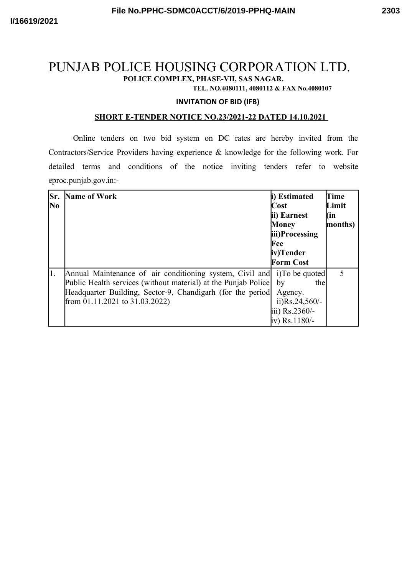# PUNJAB POLICE HOUSING CORPORATION LTD. **POLICE COMPLEX, PHASE-VII, SAS NAGAR.**

**TEL. NO.4080111, 4080112 & FAX No.4080107**

#### **INVITATION OF BID (IFB)**

#### **SHORT E-TENDER NOTICE NO.23/2021-22 DATED 14.10.2021**

Online tenders on two bid system on DC rates are hereby invited from the Contractors/Service Providers having experience & knowledge for the following work. For detailed terms and conditions of the notice inviting tenders refer to website eproc.punjab.gov.in:-

| Sr.<br>No | Name of Work                                                                                                                                                                                                                     | i) Estimated<br>Cost<br>ii) Earnest<br><b>Money</b><br>iii)Processing<br>Fee<br>iv)Tender        | Time<br>Limit<br>(in<br>months) |
|-----------|----------------------------------------------------------------------------------------------------------------------------------------------------------------------------------------------------------------------------------|--------------------------------------------------------------------------------------------------|---------------------------------|
|           |                                                                                                                                                                                                                                  | <b>Form Cost</b>                                                                                 |                                 |
| 1.        | Annual Maintenance of air conditioning system, Civil and<br>Public Health services (without material) at the Punjab Police<br>Headquarter Building, Sector-9, Chandigarh (for the period)<br>from $01.11.2021$ to $31.03.2022$ ) | i) To be quoted<br>thel<br>by<br>Agency.<br>ii) $Rs.24,560/-$<br>iii) Rs.2360/-<br>iv) Rs.1180/- | 5                               |